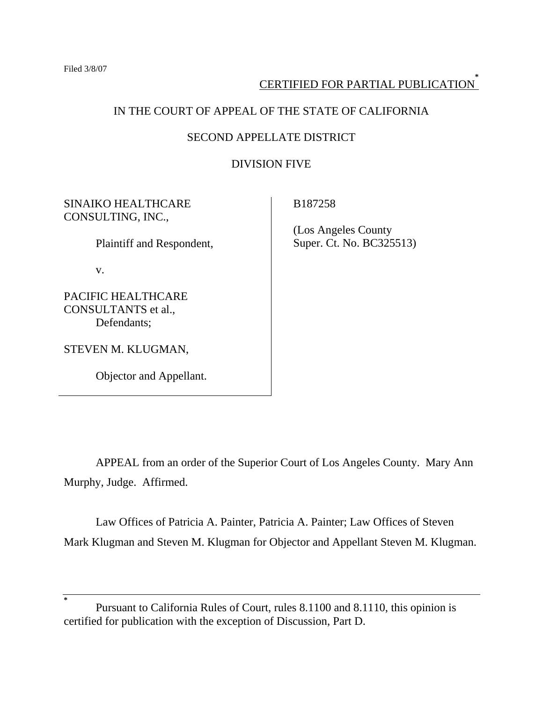## CERTIFIED FOR PARTIAL PUBLICATION**\***

## IN THE COURT OF APPEAL OF THE STATE OF CALIFORNIA

## SECOND APPELLATE DISTRICT

### DIVISION FIVE

## SINAIKO HEALTHCARE CONSULTING, INC.,

Plaintiff and Respondent,

v.

PACIFIC HEALTHCARE CONSULTANTS et al., Defendants;

STEVEN M. KLUGMAN,

Objector and Appellant.

B187258

 (Los Angeles County Super. Ct. No. BC325513)

 APPEAL from an order of the Superior Court of Los Angeles County. Mary Ann Murphy, Judge. Affirmed.

 Law Offices of Patricia A. Painter, Patricia A. Painter; Law Offices of Steven Mark Klugman and Steven M. Klugman for Objector and Appellant Steven M. Klugman.

**<sup>\*</sup>** Pursuant to California Rules of Court, rules 8.1100 and 8.1110, this opinion is certified for publication with the exception of Discussion, Part D.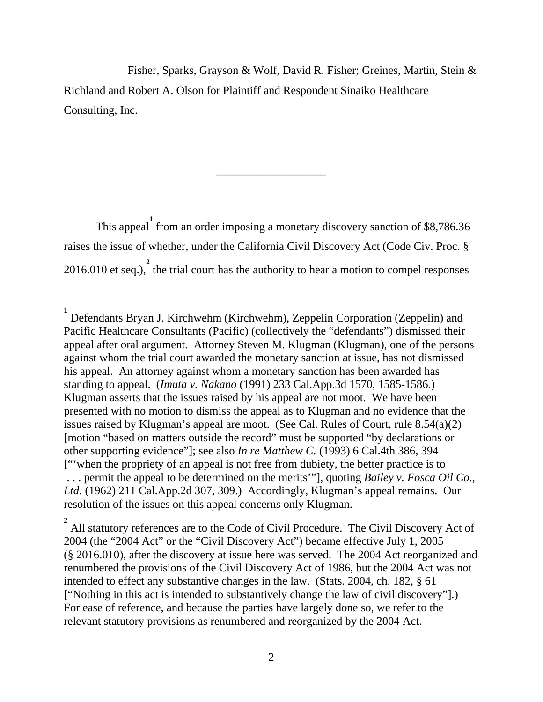Fisher, Sparks, Grayson & Wolf, David R. Fisher; Greines, Martin, Stein & Richland and Robert A. Olson for Plaintiff and Respondent Sinaiko Healthcare Consulting, Inc.

\_\_\_\_\_\_\_\_\_\_\_\_\_\_\_\_\_\_\_

This appeal from an order imposing a monetary discovery sanction of \$8,786.36 raises the issue of whether, under the California Civil Discovery Act (Code Civ. Proc. § 2016.010 et seq.),  $\frac{2}{3}$  the trial court has the authority to hear a motion to compel responses

<sup>2</sup> All statutory references are to the Code of Civil Procedure. The Civil Discovery Act of 2004 (the "2004 Act" or the "Civil Discovery Act") became effective July 1, 2005 (§ 2016.010), after the discovery at issue here was served. The 2004 Act reorganized and renumbered the provisions of the Civil Discovery Act of 1986, but the 2004 Act was not intended to effect any substantive changes in the law. (Stats. 2004, ch. 182, § 61 ["Nothing in this act is intended to substantively change the law of civil discovery"].) For ease of reference, and because the parties have largely done so, we refer to the relevant statutory provisions as renumbered and reorganized by the 2004 Act.

**<sup>1</sup>** Defendants Bryan J. Kirchwehm (Kirchwehm), Zeppelin Corporation (Zeppelin) and Pacific Healthcare Consultants (Pacific) (collectively the "defendants") dismissed their appeal after oral argument. Attorney Steven M. Klugman (Klugman), one of the persons against whom the trial court awarded the monetary sanction at issue, has not dismissed his appeal. An attorney against whom a monetary sanction has been awarded has standing to appeal. (*Imuta v. Nakano* (1991) 233 Cal.App.3d 1570, 1585-1586.) Klugman asserts that the issues raised by his appeal are not moot. We have been presented with no motion to dismiss the appeal as to Klugman and no evidence that the issues raised by Klugman's appeal are moot. (See Cal. Rules of Court, rule 8.54(a)(2) [motion "based on matters outside the record" must be supported "by declarations or other supporting evidence"]; see also *In re Matthew C.* (1993) 6 Cal.4th 386, 394 ["'when the propriety of an appeal is not free from dubiety, the better practice is to . . . permit the appeal to be determined on the merits'"], quoting *Bailey v. Fosca Oil Co., Ltd.* (1962) 211 Cal.App.2d 307, 309.) Accordingly, Klugman's appeal remains. Our resolution of the issues on this appeal concerns only Klugman.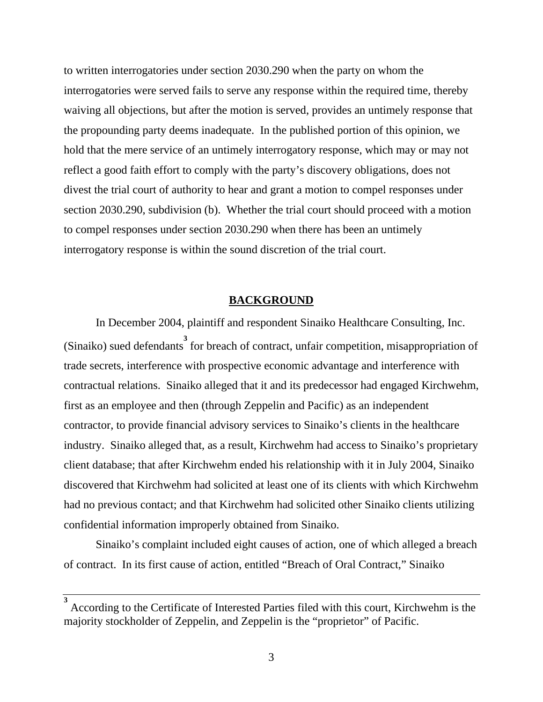to written interrogatories under section 2030.290 when the party on whom the interrogatories were served fails to serve any response within the required time, thereby waiving all objections, but after the motion is served, provides an untimely response that the propounding party deems inadequate. In the published portion of this opinion, we hold that the mere service of an untimely interrogatory response, which may or may not reflect a good faith effort to comply with the party's discovery obligations, does not divest the trial court of authority to hear and grant a motion to compel responses under section 2030.290, subdivision (b). Whether the trial court should proceed with a motion to compel responses under section 2030.290 when there has been an untimely interrogatory response is within the sound discretion of the trial court.

#### **BACKGROUND**

 In December 2004, plaintiff and respondent Sinaiko Healthcare Consulting, Inc. (Sinaiko) sued defendants for breach of contract, unfair competition, misappropriation of trade secrets, interference with prospective economic advantage and interference with contractual relations. Sinaiko alleged that it and its predecessor had engaged Kirchwehm, first as an employee and then (through Zeppelin and Pacific) as an independent contractor, to provide financial advisory services to Sinaiko's clients in the healthcare industry. Sinaiko alleged that, as a result, Kirchwehm had access to Sinaiko's proprietary client database; that after Kirchwehm ended his relationship with it in July 2004, Sinaiko discovered that Kirchwehm had solicited at least one of its clients with which Kirchwehm had no previous contact; and that Kirchwehm had solicited other Sinaiko clients utilizing confidential information improperly obtained from Sinaiko.

 Sinaiko's complaint included eight causes of action, one of which alleged a breach of contract. In its first cause of action, entitled "Breach of Oral Contract," Sinaiko

According to the Certificate of Interested Parties filed with this court, Kirchwehm is the majority stockholder of Zeppelin, and Zeppelin is the "proprietor" of Pacific.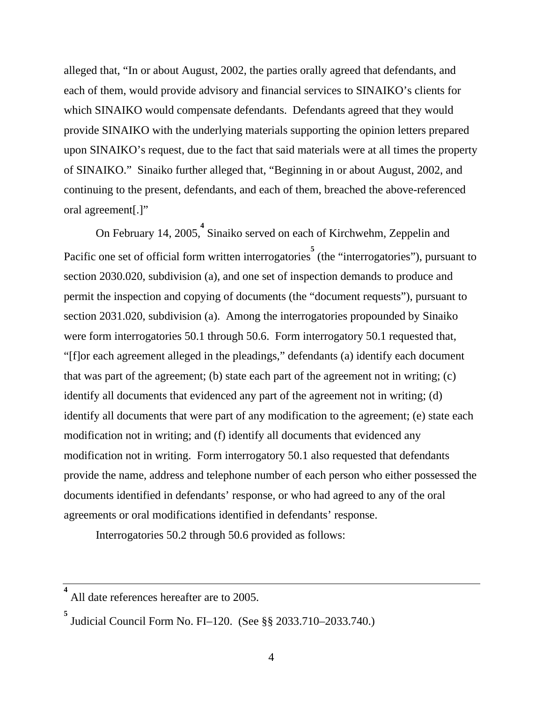alleged that, "In or about August, 2002, the parties orally agreed that defendants, and each of them, would provide advisory and financial services to SINAIKO's clients for which SINAIKO would compensate defendants. Defendants agreed that they would provide SINAIKO with the underlying materials supporting the opinion letters prepared upon SINAIKO's request, due to the fact that said materials were at all times the property of SINAIKO." Sinaiko further alleged that, "Beginning in or about August, 2002, and continuing to the present, defendants, and each of them, breached the above-referenced oral agreement[.]"

On February 14, 2005,<sup>4</sup> Sinaiko served on each of Kirchwehm, Zeppelin and Pacific one set of official form written interrogatories<sup>5</sup> (the "interrogatories"), pursuant to section 2030.020, subdivision (a), and one set of inspection demands to produce and permit the inspection and copying of documents (the "document requests"), pursuant to section 2031.020, subdivision (a). Among the interrogatories propounded by Sinaiko were form interrogatories 50.1 through 50.6. Form interrogatory 50.1 requested that, "[f]or each agreement alleged in the pleadings," defendants (a) identify each document that was part of the agreement; (b) state each part of the agreement not in writing; (c) identify all documents that evidenced any part of the agreement not in writing; (d) identify all documents that were part of any modification to the agreement; (e) state each modification not in writing; and (f) identify all documents that evidenced any modification not in writing. Form interrogatory 50.1 also requested that defendants provide the name, address and telephone number of each person who either possessed the documents identified in defendants' response, or who had agreed to any of the oral agreements or oral modifications identified in defendants' response.

Interrogatories 50.2 through 50.6 provided as follows:

**<sup>4</sup>** All date references hereafter are to 2005.

**<sup>5</sup>** Judicial Council Form No. FI–120. (See §§ 2033.710–2033.740.)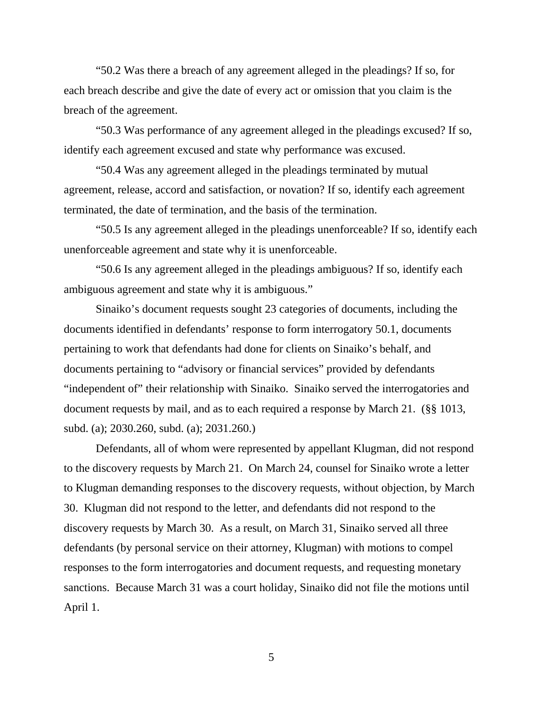"50.2 Was there a breach of any agreement alleged in the pleadings? If so, for each breach describe and give the date of every act or omission that you claim is the breach of the agreement.

 "50.3 Was performance of any agreement alleged in the pleadings excused? If so, identify each agreement excused and state why performance was excused.

 "50.4 Was any agreement alleged in the pleadings terminated by mutual agreement, release, accord and satisfaction, or novation? If so, identify each agreement terminated, the date of termination, and the basis of the termination.

 "50.5 Is any agreement alleged in the pleadings unenforceable? If so, identify each unenforceable agreement and state why it is unenforceable.

 "50.6 Is any agreement alleged in the pleadings ambiguous? If so, identify each ambiguous agreement and state why it is ambiguous."

 Sinaiko's document requests sought 23 categories of documents, including the documents identified in defendants' response to form interrogatory 50.1, documents pertaining to work that defendants had done for clients on Sinaiko's behalf, and documents pertaining to "advisory or financial services" provided by defendants "independent of" their relationship with Sinaiko. Sinaiko served the interrogatories and document requests by mail, and as to each required a response by March 21. (§§ 1013, subd. (a); 2030.260, subd. (a); 2031.260.)

 Defendants, all of whom were represented by appellant Klugman, did not respond to the discovery requests by March 21. On March 24, counsel for Sinaiko wrote a letter to Klugman demanding responses to the discovery requests, without objection, by March 30. Klugman did not respond to the letter, and defendants did not respond to the discovery requests by March 30. As a result, on March 31, Sinaiko served all three defendants (by personal service on their attorney, Klugman) with motions to compel responses to the form interrogatories and document requests, and requesting monetary sanctions. Because March 31 was a court holiday, Sinaiko did not file the motions until April 1.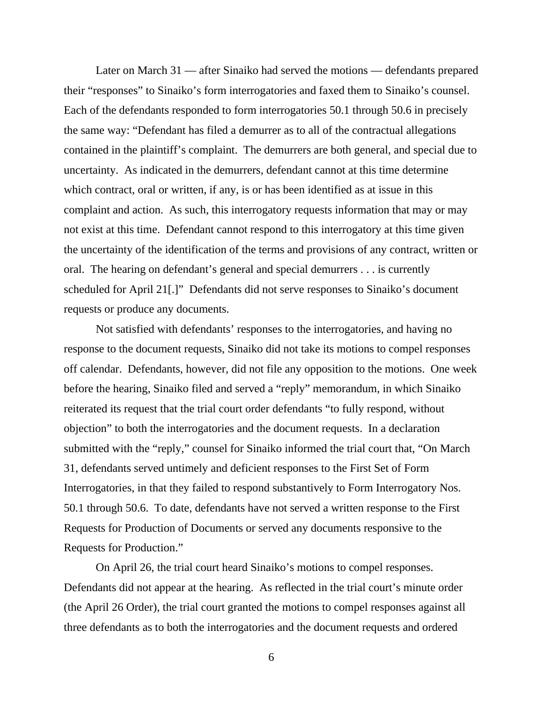Later on March 31 — after Sinaiko had served the motions — defendants prepared their "responses" to Sinaiko's form interrogatories and faxed them to Sinaiko's counsel. Each of the defendants responded to form interrogatories 50.1 through 50.6 in precisely the same way: "Defendant has filed a demurrer as to all of the contractual allegations contained in the plaintiff's complaint. The demurrers are both general, and special due to uncertainty. As indicated in the demurrers, defendant cannot at this time determine which contract, oral or written, if any, is or has been identified as at issue in this complaint and action. As such, this interrogatory requests information that may or may not exist at this time. Defendant cannot respond to this interrogatory at this time given the uncertainty of the identification of the terms and provisions of any contract, written or oral. The hearing on defendant's general and special demurrers . . . is currently scheduled for April 21[.]" Defendants did not serve responses to Sinaiko's document requests or produce any documents.

 Not satisfied with defendants' responses to the interrogatories, and having no response to the document requests, Sinaiko did not take its motions to compel responses off calendar. Defendants, however, did not file any opposition to the motions. One week before the hearing, Sinaiko filed and served a "reply" memorandum, in which Sinaiko reiterated its request that the trial court order defendants "to fully respond, without objection" to both the interrogatories and the document requests. In a declaration submitted with the "reply," counsel for Sinaiko informed the trial court that, "On March 31, defendants served untimely and deficient responses to the First Set of Form Interrogatories, in that they failed to respond substantively to Form Interrogatory Nos. 50.1 through 50.6. To date, defendants have not served a written response to the First Requests for Production of Documents or served any documents responsive to the Requests for Production."

 On April 26, the trial court heard Sinaiko's motions to compel responses. Defendants did not appear at the hearing. As reflected in the trial court's minute order (the April 26 Order), the trial court granted the motions to compel responses against all three defendants as to both the interrogatories and the document requests and ordered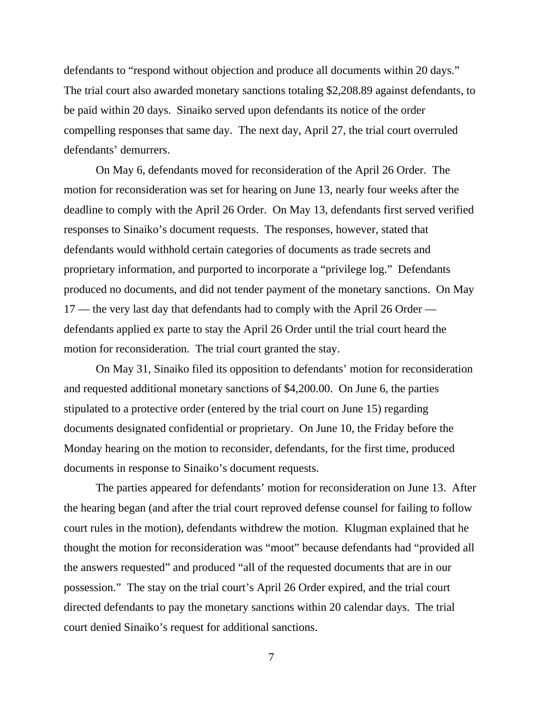defendants to "respond without objection and produce all documents within 20 days." The trial court also awarded monetary sanctions totaling \$2,208.89 against defendants, to be paid within 20 days. Sinaiko served upon defendants its notice of the order compelling responses that same day. The next day, April 27, the trial court overruled defendants' demurrers.

 On May 6, defendants moved for reconsideration of the April 26 Order. The motion for reconsideration was set for hearing on June 13, nearly four weeks after the deadline to comply with the April 26 Order. On May 13, defendants first served verified responses to Sinaiko's document requests. The responses, however, stated that defendants would withhold certain categories of documents as trade secrets and proprietary information, and purported to incorporate a "privilege log." Defendants produced no documents, and did not tender payment of the monetary sanctions. On May 17 — the very last day that defendants had to comply with the April 26 Order defendants applied ex parte to stay the April 26 Order until the trial court heard the motion for reconsideration. The trial court granted the stay.

 On May 31, Sinaiko filed its opposition to defendants' motion for reconsideration and requested additional monetary sanctions of \$4,200.00. On June 6, the parties stipulated to a protective order (entered by the trial court on June 15) regarding documents designated confidential or proprietary. On June 10, the Friday before the Monday hearing on the motion to reconsider, defendants, for the first time, produced documents in response to Sinaiko's document requests.

 The parties appeared for defendants' motion for reconsideration on June 13. After the hearing began (and after the trial court reproved defense counsel for failing to follow court rules in the motion), defendants withdrew the motion. Klugman explained that he thought the motion for reconsideration was "moot" because defendants had "provided all the answers requested" and produced "all of the requested documents that are in our possession." The stay on the trial court's April 26 Order expired, and the trial court directed defendants to pay the monetary sanctions within 20 calendar days. The trial court denied Sinaiko's request for additional sanctions.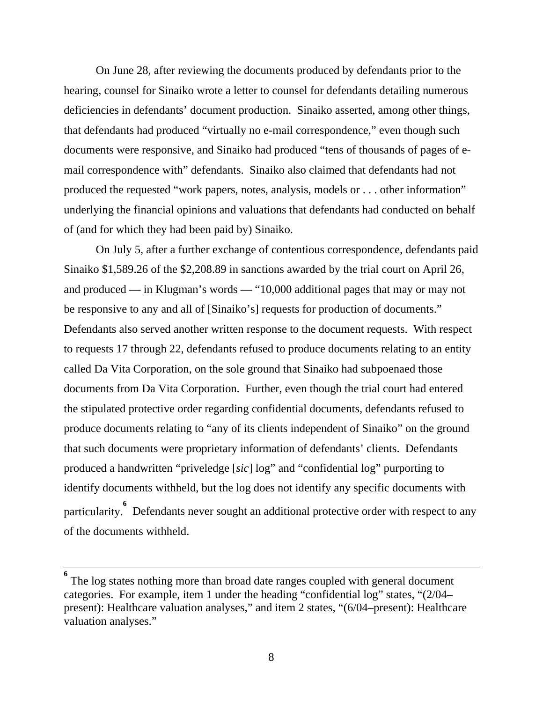On June 28, after reviewing the documents produced by defendants prior to the hearing, counsel for Sinaiko wrote a letter to counsel for defendants detailing numerous deficiencies in defendants' document production. Sinaiko asserted, among other things, that defendants had produced "virtually no e-mail correspondence," even though such documents were responsive, and Sinaiko had produced "tens of thousands of pages of email correspondence with" defendants. Sinaiko also claimed that defendants had not produced the requested "work papers, notes, analysis, models or . . . other information" underlying the financial opinions and valuations that defendants had conducted on behalf of (and for which they had been paid by) Sinaiko.

 On July 5, after a further exchange of contentious correspondence, defendants paid Sinaiko \$1,589.26 of the \$2,208.89 in sanctions awarded by the trial court on April 26, and produced — in Klugman's words — "10,000 additional pages that may or may not be responsive to any and all of [Sinaiko's] requests for production of documents." Defendants also served another written response to the document requests. With respect to requests 17 through 22, defendants refused to produce documents relating to an entity called Da Vita Corporation, on the sole ground that Sinaiko had subpoenaed those documents from Da Vita Corporation. Further, even though the trial court had entered the stipulated protective order regarding confidential documents, defendants refused to produce documents relating to "any of its clients independent of Sinaiko" on the ground that such documents were proprietary information of defendants' clients. Defendants produced a handwritten "priveledge [*sic*] log" and "confidential log" purporting to identify documents withheld, but the log does not identify any specific documents with particularity. <sup>6</sup> Defendants never sought an additional protective order with respect to any of the documents withheld.

**<sup>6</sup>** The log states nothing more than broad date ranges coupled with general document categories. For example, item 1 under the heading "confidential log" states, "(2/04– present): Healthcare valuation analyses," and item 2 states, "(6/04–present): Healthcare valuation analyses."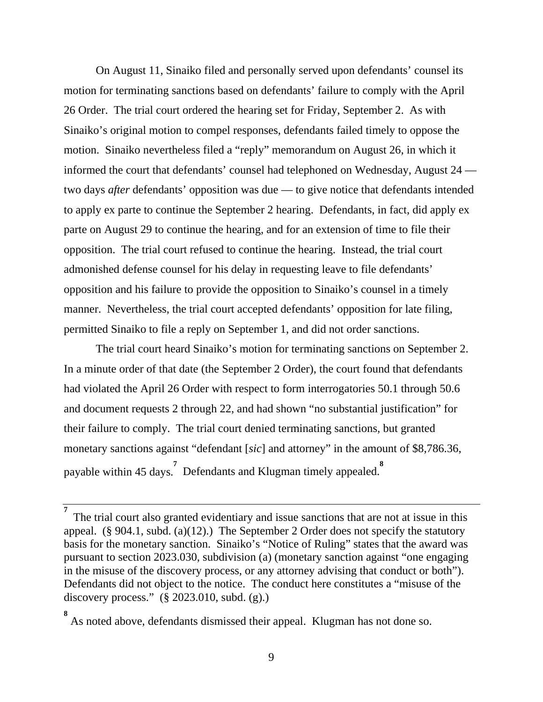On August 11, Sinaiko filed and personally served upon defendants' counsel its motion for terminating sanctions based on defendants' failure to comply with the April 26 Order. The trial court ordered the hearing set for Friday, September 2. As with Sinaiko's original motion to compel responses, defendants failed timely to oppose the motion. Sinaiko nevertheless filed a "reply" memorandum on August 26, in which it informed the court that defendants' counsel had telephoned on Wednesday, August 24 two days *after* defendants' opposition was due — to give notice that defendants intended to apply ex parte to continue the September 2 hearing. Defendants, in fact, did apply ex parte on August 29 to continue the hearing, and for an extension of time to file their opposition. The trial court refused to continue the hearing. Instead, the trial court admonished defense counsel for his delay in requesting leave to file defendants' opposition and his failure to provide the opposition to Sinaiko's counsel in a timely manner. Nevertheless, the trial court accepted defendants' opposition for late filing, permitted Sinaiko to file a reply on September 1, and did not order sanctions.

 The trial court heard Sinaiko's motion for terminating sanctions on September 2. In a minute order of that date (the September 2 Order), the court found that defendants had violated the April 26 Order with respect to form interrogatories 50.1 through 50.6 and document requests 2 through 22, and had shown "no substantial justification" for their failure to comply. The trial court denied terminating sanctions, but granted monetary sanctions against "defendant [*sic*] and attorney" in the amount of \$8,786.36, payable within 45 days.<sup>7</sup> Defendants and Klugman timely appealed.<sup>8</sup>

**<sup>7</sup>** The trial court also granted evidentiary and issue sanctions that are not at issue in this appeal. (§ 904.1, subd. (a)(12).) The September 2 Order does not specify the statutory basis for the monetary sanction. Sinaiko's "Notice of Ruling" states that the award was pursuant to section 2023.030, subdivision (a) (monetary sanction against "one engaging in the misuse of the discovery process, or any attorney advising that conduct or both"). Defendants did not object to the notice. The conduct here constitutes a "misuse of the discovery process." (§ 2023.010, subd. (g).)

**<sup>8</sup>** As noted above, defendants dismissed their appeal. Klugman has not done so.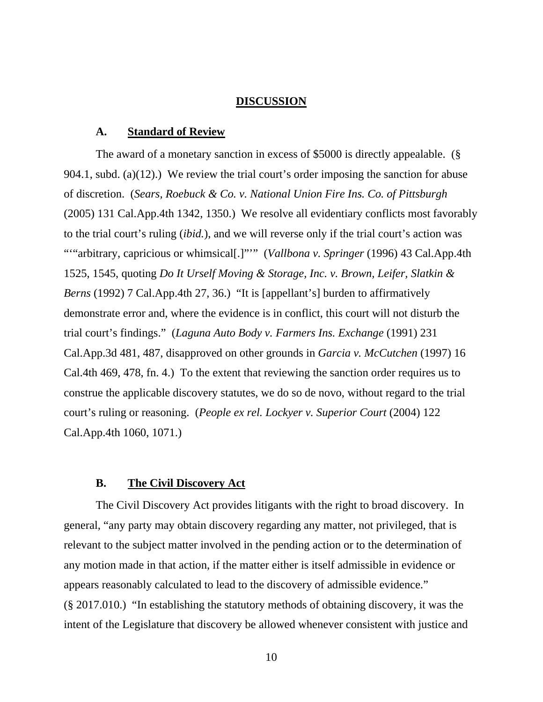#### **DISCUSSION**

#### **A. Standard of Review**

 The award of a monetary sanction in excess of \$5000 is directly appealable. (§ 904.1, subd. (a)(12).) We review the trial court's order imposing the sanction for abuse of discretion. (*Sears, Roebuck & Co. v. National Union Fire Ins. Co. of Pittsburgh* (2005) 131 Cal.App.4th 1342, 1350.) We resolve all evidentiary conflicts most favorably to the trial court's ruling (*ibid.*), and we will reverse only if the trial court's action was ""arbitrary, capricious or whimsical[.]""" (*Vallbona v. Springer* (1996) 43 Cal.App.4th 1525, 1545, quoting *Do It Urself Moving & Storage, Inc. v. Brown, Leifer, Slatkin & Berns* (1992) 7 Cal.App.4th 27, 36.) "It is [appellant's] burden to affirmatively demonstrate error and, where the evidence is in conflict, this court will not disturb the trial court's findings." (*Laguna Auto Body v. Farmers Ins. Exchange* (1991) 231 Cal.App.3d 481, 487, disapproved on other grounds in *Garcia v. McCutchen* (1997) 16 Cal.4th 469, 478, fn. 4.) To the extent that reviewing the sanction order requires us to construe the applicable discovery statutes, we do so de novo, without regard to the trial court's ruling or reasoning. (*People ex rel. Lockyer v. Superior Court* (2004) 122 Cal.App.4th 1060, 1071.)

#### **B. The Civil Discovery Act**

 The Civil Discovery Act provides litigants with the right to broad discovery. In general, "any party may obtain discovery regarding any matter, not privileged, that is relevant to the subject matter involved in the pending action or to the determination of any motion made in that action, if the matter either is itself admissible in evidence or appears reasonably calculated to lead to the discovery of admissible evidence." (§ 2017.010.) "In establishing the statutory methods of obtaining discovery, it was the intent of the Legislature that discovery be allowed whenever consistent with justice and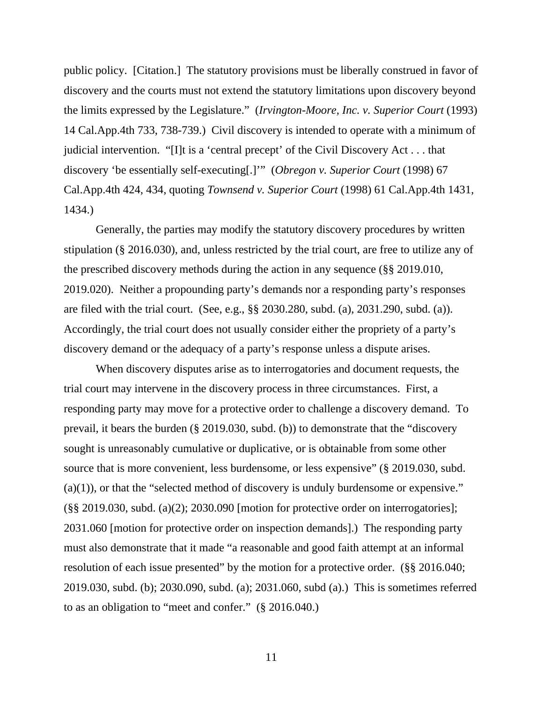public policy. [Citation.] The statutory provisions must be liberally construed in favor of discovery and the courts must not extend the statutory limitations upon discovery beyond the limits expressed by the Legislature." (*Irvington-Moore, Inc. v. Superior Court* (1993) 14 Cal.App.4th 733, 738-739.) Civil discovery is intended to operate with a minimum of judicial intervention. "[I]t is a 'central precept' of the Civil Discovery Act . . . that discovery 'be essentially self-executing[.]'" (*Obregon v. Superior Court* (1998) 67 Cal.App.4th 424, 434, quoting *Townsend v. Superior Court* (1998) 61 Cal.App.4th 1431, 1434.)

 Generally, the parties may modify the statutory discovery procedures by written stipulation (§ 2016.030), and, unless restricted by the trial court, are free to utilize any of the prescribed discovery methods during the action in any sequence (§§ 2019.010, 2019.020). Neither a propounding party's demands nor a responding party's responses are filed with the trial court. (See, e.g., §§ 2030.280, subd. (a), 2031.290, subd. (a)). Accordingly, the trial court does not usually consider either the propriety of a party's discovery demand or the adequacy of a party's response unless a dispute arises.

 When discovery disputes arise as to interrogatories and document requests, the trial court may intervene in the discovery process in three circumstances. First, a responding party may move for a protective order to challenge a discovery demand. To prevail, it bears the burden (§ 2019.030, subd. (b)) to demonstrate that the "discovery sought is unreasonably cumulative or duplicative, or is obtainable from some other source that is more convenient, less burdensome, or less expensive" (§ 2019.030, subd.  $(a)(1)$ , or that the "selected method of discovery is unduly burdensome or expensive." (§§ 2019.030, subd. (a)(2); 2030.090 [motion for protective order on interrogatories]; 2031.060 [motion for protective order on inspection demands].) The responding party must also demonstrate that it made "a reasonable and good faith attempt at an informal resolution of each issue presented" by the motion for a protective order. (§§ 2016.040; 2019.030, subd. (b); 2030.090, subd. (a); 2031.060, subd (a).) This is sometimes referred to as an obligation to "meet and confer." (§ 2016.040.)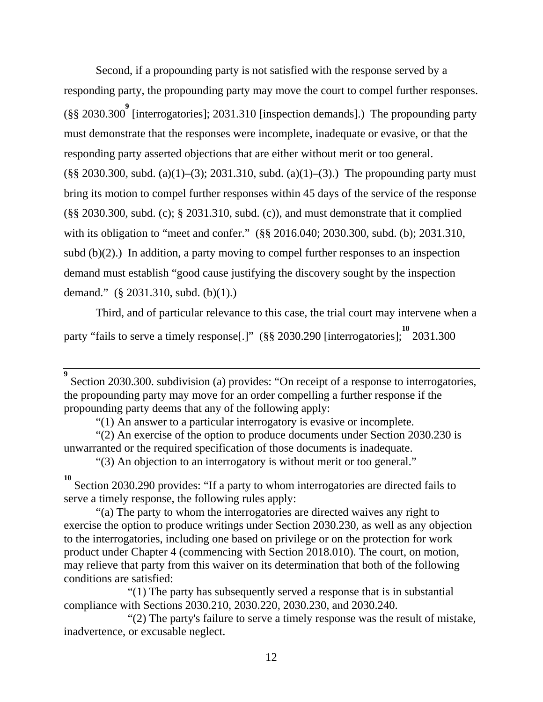Second, if a propounding party is not satisfied with the response served by a responding party, the propounding party may move the court to compel further responses. (§§ 2030.300 **9** [interrogatories]; 2031.310 [inspection demands].) The propounding party must demonstrate that the responses were incomplete, inadequate or evasive, or that the responding party asserted objections that are either without merit or too general.  $(\S\$  2030.300, subd. (a)(1)–(3); 2031.310, subd. (a)(1)–(3).) The propounding party must bring its motion to compel further responses within 45 days of the service of the response (§§ 2030.300, subd. (c); § 2031.310, subd. (c)), and must demonstrate that it complied with its obligation to "meet and confer." (§§ 2016.040; 2030.300, subd. (b); 2031.310, subd  $(b)(2)$ .) In addition, a party moving to compel further responses to an inspection demand must establish "good cause justifying the discovery sought by the inspection demand." (§ 2031.310, subd. (b)(1).)

 Third, and of particular relevance to this case, the trial court may intervene when a party "fails to serve a timely response[.]" (§§ 2030.290 [interrogatories]; <sup>10</sup> 2031.300

"(3) An objection to an interrogatory is without merit or too general."

**<sup>9</sup>** Section 2030.300. subdivision (a) provides: "On receipt of a response to interrogatories, the propounding party may move for an order compelling a further response if the propounding party deems that any of the following apply:

 <sup>&</sup>quot;(1) An answer to a particular interrogatory is evasive or incomplete.

 <sup>&</sup>quot;(2) An exercise of the option to produce documents under Section 2030.230 is unwarranted or the required specification of those documents is inadequate.

**<sup>10</sup>** Section 2030.290 provides: "If a party to whom interrogatories are directed fails to serve a timely response, the following rules apply:

 <sup>&</sup>quot;(a) The party to whom the interrogatories are directed waives any right to exercise the option to produce writings under Section 2030.230, as well as any objection to the interrogatories, including one based on privilege or on the protection for work product under Chapter 4 (commencing with Section 2018.010). The court, on motion, may relieve that party from this waiver on its determination that both of the following conditions are satisfied:

 <sup>&</sup>quot;(1) The party has subsequently served a response that is in substantial compliance with Sections 2030.210, 2030.220, 2030.230, and 2030.240.

 <sup>&</sup>quot;(2) The party's failure to serve a timely response was the result of mistake, inadvertence, or excusable neglect.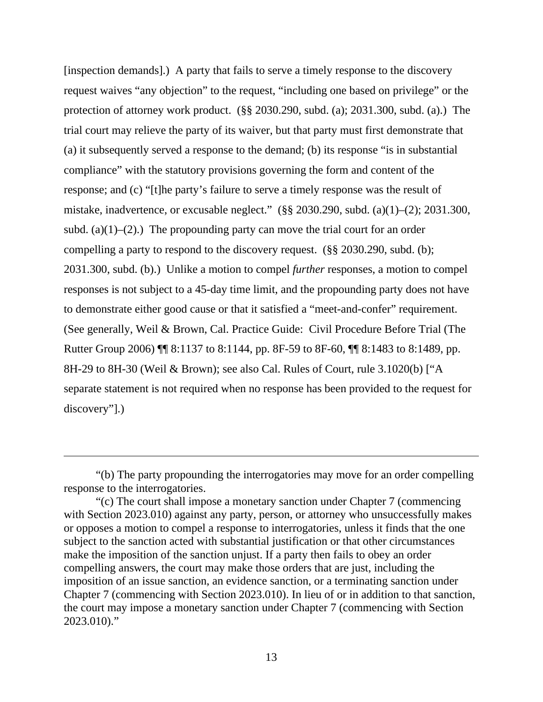[inspection demands].) A party that fails to serve a timely response to the discovery request waives "any objection" to the request, "including one based on privilege" or the protection of attorney work product. (§§ 2030.290, subd. (a); 2031.300, subd. (a).) The trial court may relieve the party of its waiver, but that party must first demonstrate that (a) it subsequently served a response to the demand; (b) its response "is in substantial compliance" with the statutory provisions governing the form and content of the response; and (c) "[t]he party's failure to serve a timely response was the result of mistake, inadvertence, or excusable neglect." (§§ 2030.290, subd. (a)(1)–(2); 2031.300, subd. (a) $(1)$ – $(2)$ .) The propounding party can move the trial court for an order compelling a party to respond to the discovery request. (§§ 2030.290, subd. (b); 2031.300, subd. (b).) Unlike a motion to compel *further* responses, a motion to compel responses is not subject to a 45-day time limit, and the propounding party does not have to demonstrate either good cause or that it satisfied a "meet-and-confer" requirement. (See generally, Weil & Brown, Cal. Practice Guide: Civil Procedure Before Trial (The Rutter Group 2006) ¶¶ 8:1137 to 8:1144, pp. 8F-59 to 8F-60, ¶¶ 8:1483 to 8:1489, pp. 8H-29 to 8H-30 (Weil & Brown); see also Cal. Rules of Court, rule 3.1020(b) ["A separate statement is not required when no response has been provided to the request for discovery"].)

 $\overline{a}$ 

 <sup>&</sup>quot;(b) The party propounding the interrogatories may move for an order compelling response to the interrogatories.

 <sup>&</sup>quot;(c) The court shall impose a monetary sanction under Chapter 7 (commencing with Section 2023.010) against any party, person, or attorney who unsuccessfully makes or opposes a motion to compel a response to interrogatories, unless it finds that the one subject to the sanction acted with substantial justification or that other circumstances make the imposition of the sanction unjust. If a party then fails to obey an order compelling answers, the court may make those orders that are just, including the imposition of an issue sanction, an evidence sanction, or a terminating sanction under Chapter 7 (commencing with Section 2023.010). In lieu of or in addition to that sanction, the court may impose a monetary sanction under Chapter 7 (commencing with Section 2023.010)."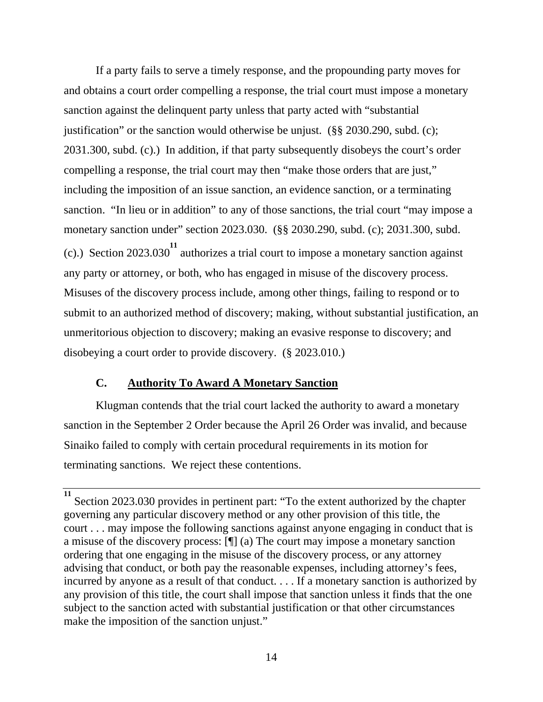If a party fails to serve a timely response, and the propounding party moves for and obtains a court order compelling a response, the trial court must impose a monetary sanction against the delinquent party unless that party acted with "substantial justification" or the sanction would otherwise be unjust. (§§ 2030.290, subd. (c); 2031.300, subd. (c).) In addition, if that party subsequently disobeys the court's order compelling a response, the trial court may then "make those orders that are just," including the imposition of an issue sanction, an evidence sanction, or a terminating sanction. "In lieu or in addition" to any of those sanctions, the trial court "may impose a monetary sanction under" section 2023.030. (§§ 2030.290, subd. (c); 2031.300, subd. (c).) Section 2023.030 **11** authorizes a trial court to impose a monetary sanction against any party or attorney, or both, who has engaged in misuse of the discovery process. Misuses of the discovery process include, among other things, failing to respond or to submit to an authorized method of discovery; making, without substantial justification, an unmeritorious objection to discovery; making an evasive response to discovery; and disobeying a court order to provide discovery. (§ 2023.010.)

## **C. Authority To Award A Monetary Sanction**

 Klugman contends that the trial court lacked the authority to award a monetary sanction in the September 2 Order because the April 26 Order was invalid, and because Sinaiko failed to comply with certain procedural requirements in its motion for terminating sanctions. We reject these contentions.

**<sup>11</sup>** Section 2023.030 provides in pertinent part: "To the extent authorized by the chapter governing any particular discovery method or any other provision of this title, the court . . . may impose the following sanctions against anyone engaging in conduct that is a misuse of the discovery process: [¶] (a) The court may impose a monetary sanction ordering that one engaging in the misuse of the discovery process, or any attorney advising that conduct, or both pay the reasonable expenses, including attorney's fees, incurred by anyone as a result of that conduct. . . . If a monetary sanction is authorized by any provision of this title, the court shall impose that sanction unless it finds that the one subject to the sanction acted with substantial justification or that other circumstances make the imposition of the sanction unjust."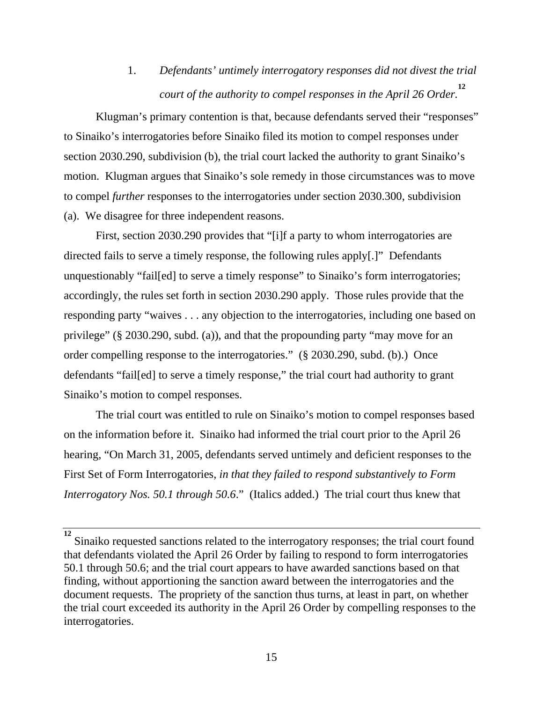1. *Defendants' untimely interrogatory responses did not divest the trial court of the authority to compel responses in the April 26 Order.* **12**

 Klugman's primary contention is that, because defendants served their "responses" to Sinaiko's interrogatories before Sinaiko filed its motion to compel responses under section 2030.290, subdivision (b), the trial court lacked the authority to grant Sinaiko's motion. Klugman argues that Sinaiko's sole remedy in those circumstances was to move to compel *further* responses to the interrogatories under section 2030.300, subdivision (a). We disagree for three independent reasons.

 First, section 2030.290 provides that "[i]f a party to whom interrogatories are directed fails to serve a timely response, the following rules apply[.]" Defendants unquestionably "fail[ed] to serve a timely response" to Sinaiko's form interrogatories; accordingly, the rules set forth in section 2030.290 apply. Those rules provide that the responding party "waives . . . any objection to the interrogatories, including one based on privilege" (§ 2030.290, subd. (a)), and that the propounding party "may move for an order compelling response to the interrogatories." (§ 2030.290, subd. (b).) Once defendants "fail[ed] to serve a timely response," the trial court had authority to grant Sinaiko's motion to compel responses.

 The trial court was entitled to rule on Sinaiko's motion to compel responses based on the information before it. Sinaiko had informed the trial court prior to the April 26 hearing, "On March 31, 2005, defendants served untimely and deficient responses to the First Set of Form Interrogatories, *in that they failed to respond substantively to Form Interrogatory Nos. 50.1 through 50.6*." (Italics added.) The trial court thus knew that

Sinaiko requested sanctions related to the interrogatory responses; the trial court found that defendants violated the April 26 Order by failing to respond to form interrogatories 50.1 through 50.6; and the trial court appears to have awarded sanctions based on that finding, without apportioning the sanction award between the interrogatories and the document requests. The propriety of the sanction thus turns, at least in part, on whether the trial court exceeded its authority in the April 26 Order by compelling responses to the interrogatories.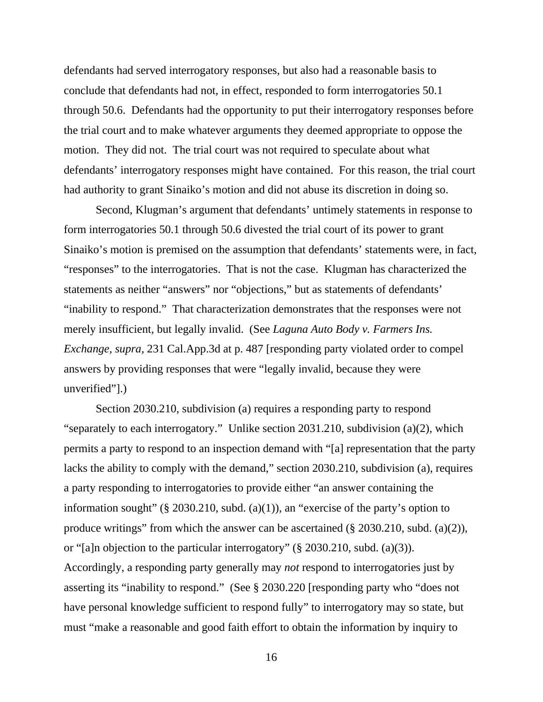defendants had served interrogatory responses, but also had a reasonable basis to conclude that defendants had not, in effect, responded to form interrogatories 50.1 through 50.6. Defendants had the opportunity to put their interrogatory responses before the trial court and to make whatever arguments they deemed appropriate to oppose the motion. They did not. The trial court was not required to speculate about what defendants' interrogatory responses might have contained. For this reason, the trial court had authority to grant Sinaiko's motion and did not abuse its discretion in doing so.

 Second, Klugman's argument that defendants' untimely statements in response to form interrogatories 50.1 through 50.6 divested the trial court of its power to grant Sinaiko's motion is premised on the assumption that defendants' statements were, in fact, "responses" to the interrogatories. That is not the case. Klugman has characterized the statements as neither "answers" nor "objections," but as statements of defendants' "inability to respond." That characterization demonstrates that the responses were not merely insufficient, but legally invalid. (See *Laguna Auto Body v. Farmers Ins. Exchange, supra,* 231 Cal.App.3d at p. 487 [responding party violated order to compel answers by providing responses that were "legally invalid, because they were unverified"].)

 Section 2030.210, subdivision (a) requires a responding party to respond "separately to each interrogatory." Unlike section 2031.210, subdivision (a)(2), which permits a party to respond to an inspection demand with "[a] representation that the party lacks the ability to comply with the demand," section 2030.210, subdivision (a), requires a party responding to interrogatories to provide either "an answer containing the information sought" ( $\S$  2030.210, subd. (a)(1)), an "exercise of the party's option to produce writings" from which the answer can be ascertained (§ 2030.210, subd. (a)(2)), or "[a]n objection to the particular interrogatory" (§ 2030.210, subd. (a)(3)). Accordingly, a responding party generally may *not* respond to interrogatories just by asserting its "inability to respond." (See § 2030.220 [responding party who "does not have personal knowledge sufficient to respond fully" to interrogatory may so state, but must "make a reasonable and good faith effort to obtain the information by inquiry to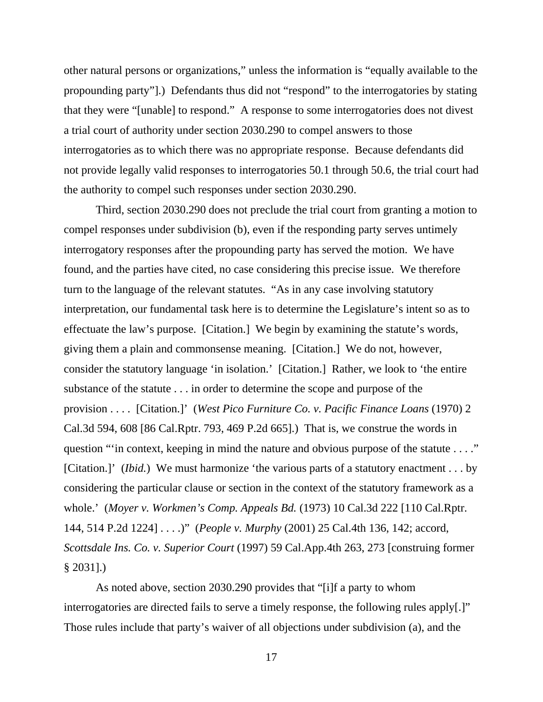other natural persons or organizations," unless the information is "equally available to the propounding party"].) Defendants thus did not "respond" to the interrogatories by stating that they were "[unable] to respond." A response to some interrogatories does not divest a trial court of authority under section 2030.290 to compel answers to those interrogatories as to which there was no appropriate response. Because defendants did not provide legally valid responses to interrogatories 50.1 through 50.6, the trial court had the authority to compel such responses under section 2030.290.

 Third, section 2030.290 does not preclude the trial court from granting a motion to compel responses under subdivision (b), even if the responding party serves untimely interrogatory responses after the propounding party has served the motion. We have found, and the parties have cited, no case considering this precise issue. We therefore turn to the language of the relevant statutes. "As in any case involving statutory interpretation, our fundamental task here is to determine the Legislature's intent so as to effectuate the law's purpose. [Citation.] We begin by examining the statute's words, giving them a plain and commonsense meaning. [Citation.] We do not, however, consider the statutory language 'in isolation.' [Citation.] Rather, we look to 'the entire substance of the statute . . . in order to determine the scope and purpose of the provision . . . . [Citation.]' (*West Pico Furniture Co. v. Pacific Finance Loans* (1970) 2 Cal.3d 594, 608 [86 Cal.Rptr. 793, 469 P.2d 665].) That is, we construe the words in question "'in context, keeping in mind the nature and obvious purpose of the statute . . . ." [Citation.]' *(Ibid.)* We must harmonize 'the various parts of a statutory enactment . . . by considering the particular clause or section in the context of the statutory framework as a whole.' (*Moyer v. Workmen's Comp. Appeals Bd.* (1973) 10 Cal.3d 222 [110 Cal.Rptr. 144, 514 P.2d 1224] . . . .)" (*People v. Murphy* (2001) 25 Cal.4th 136, 142; accord, *Scottsdale Ins. Co. v. Superior Court* (1997) 59 Cal.App.4th 263, 273 [construing former § 2031].)

 As noted above, section 2030.290 provides that "[i]f a party to whom interrogatories are directed fails to serve a timely response, the following rules apply[.]" Those rules include that party's waiver of all objections under subdivision (a), and the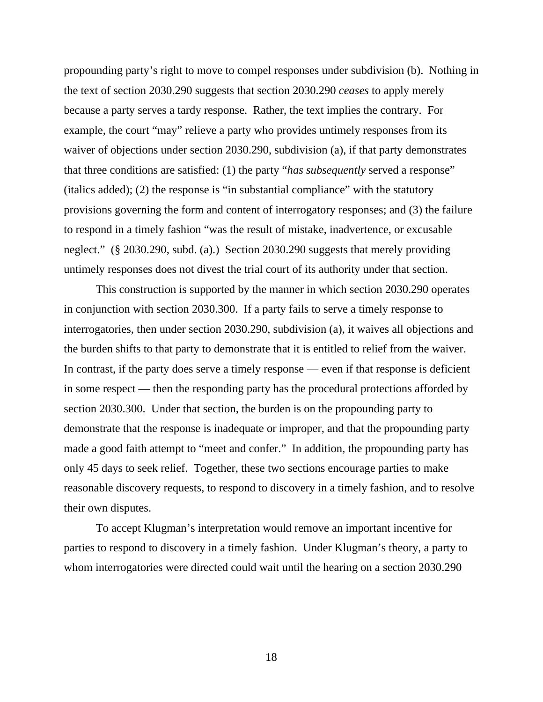propounding party's right to move to compel responses under subdivision (b). Nothing in the text of section 2030.290 suggests that section 2030.290 *ceases* to apply merely because a party serves a tardy response. Rather, the text implies the contrary. For example, the court "may" relieve a party who provides untimely responses from its waiver of objections under section 2030.290, subdivision (a), if that party demonstrates that three conditions are satisfied: (1) the party "*has subsequently* served a response" (italics added); (2) the response is "in substantial compliance" with the statutory provisions governing the form and content of interrogatory responses; and (3) the failure to respond in a timely fashion "was the result of mistake, inadvertence, or excusable neglect." (§ 2030.290, subd. (a).) Section 2030.290 suggests that merely providing untimely responses does not divest the trial court of its authority under that section.

 This construction is supported by the manner in which section 2030.290 operates in conjunction with section 2030.300. If a party fails to serve a timely response to interrogatories, then under section 2030.290, subdivision (a), it waives all objections and the burden shifts to that party to demonstrate that it is entitled to relief from the waiver. In contrast, if the party does serve a timely response — even if that response is deficient in some respect — then the responding party has the procedural protections afforded by section 2030.300. Under that section, the burden is on the propounding party to demonstrate that the response is inadequate or improper, and that the propounding party made a good faith attempt to "meet and confer." In addition, the propounding party has only 45 days to seek relief. Together, these two sections encourage parties to make reasonable discovery requests, to respond to discovery in a timely fashion, and to resolve their own disputes.

 To accept Klugman's interpretation would remove an important incentive for parties to respond to discovery in a timely fashion. Under Klugman's theory, a party to whom interrogatories were directed could wait until the hearing on a section 2030.290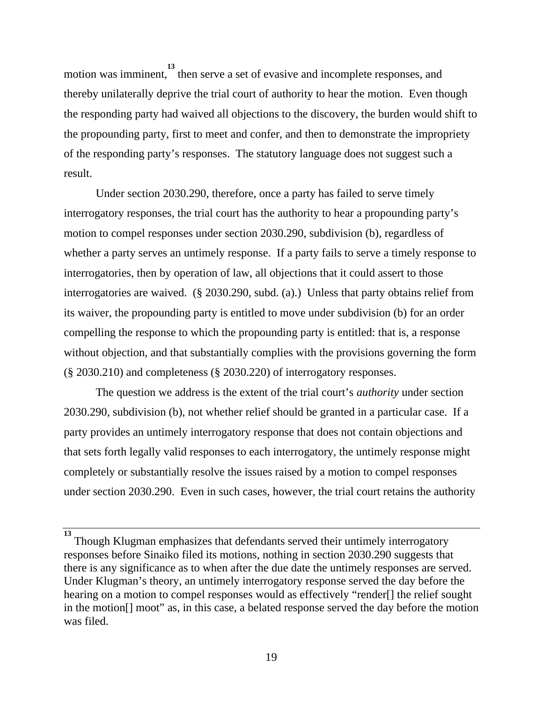motion was imminent, then serve a set of evasive and incomplete responses, and thereby unilaterally deprive the trial court of authority to hear the motion. Even though the responding party had waived all objections to the discovery, the burden would shift to the propounding party, first to meet and confer, and then to demonstrate the impropriety of the responding party's responses. The statutory language does not suggest such a result.

 Under section 2030.290, therefore, once a party has failed to serve timely interrogatory responses, the trial court has the authority to hear a propounding party's motion to compel responses under section 2030.290, subdivision (b), regardless of whether a party serves an untimely response. If a party fails to serve a timely response to interrogatories, then by operation of law, all objections that it could assert to those interrogatories are waived. (§ 2030.290, subd. (a).) Unless that party obtains relief from its waiver, the propounding party is entitled to move under subdivision (b) for an order compelling the response to which the propounding party is entitled: that is, a response without objection, and that substantially complies with the provisions governing the form (§ 2030.210) and completeness (§ 2030.220) of interrogatory responses.

 The question we address is the extent of the trial court's *authority* under section 2030.290, subdivision (b), not whether relief should be granted in a particular case. If a party provides an untimely interrogatory response that does not contain objections and that sets forth legally valid responses to each interrogatory, the untimely response might completely or substantially resolve the issues raised by a motion to compel responses under section 2030.290. Even in such cases, however, the trial court retains the authority

**<sup>13</sup>** Though Klugman emphasizes that defendants served their untimely interrogatory responses before Sinaiko filed its motions, nothing in section 2030.290 suggests that there is any significance as to when after the due date the untimely responses are served. Under Klugman's theory, an untimely interrogatory response served the day before the hearing on a motion to compel responses would as effectively "render[] the relief sought in the motion[] moot" as, in this case, a belated response served the day before the motion was filed.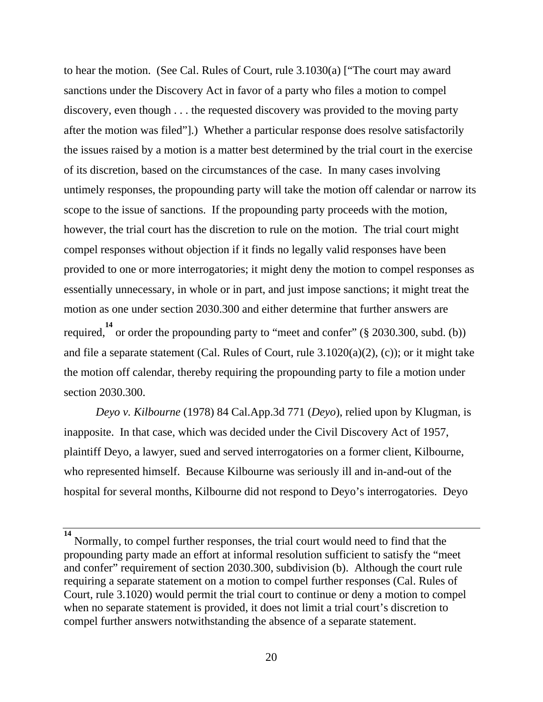to hear the motion. (See Cal. Rules of Court, rule 3.1030(a) ["The court may award sanctions under the Discovery Act in favor of a party who files a motion to compel discovery, even though . . . the requested discovery was provided to the moving party after the motion was filed"].) Whether a particular response does resolve satisfactorily the issues raised by a motion is a matter best determined by the trial court in the exercise of its discretion, based on the circumstances of the case. In many cases involving untimely responses, the propounding party will take the motion off calendar or narrow its scope to the issue of sanctions. If the propounding party proceeds with the motion, however, the trial court has the discretion to rule on the motion. The trial court might compel responses without objection if it finds no legally valid responses have been provided to one or more interrogatories; it might deny the motion to compel responses as essentially unnecessary, in whole or in part, and just impose sanctions; it might treat the motion as one under section 2030.300 and either determine that further answers are required, <sup>14</sup> or order the propounding party to "meet and confer" (§ 2030.300, subd. (b)) and file a separate statement (Cal. Rules of Court, rule 3.1020(a)(2), (c)); or it might take the motion off calendar, thereby requiring the propounding party to file a motion under section 2030.300.

*Deyo v. Kilbourne* (1978) 84 Cal.App.3d 771 (*Deyo*), relied upon by Klugman, is inapposite. In that case, which was decided under the Civil Discovery Act of 1957, plaintiff Deyo, a lawyer, sued and served interrogatories on a former client, Kilbourne, who represented himself. Because Kilbourne was seriously ill and in-and-out of the hospital for several months, Kilbourne did not respond to Deyo's interrogatories. Deyo

**<sup>14</sup>** Normally, to compel further responses, the trial court would need to find that the propounding party made an effort at informal resolution sufficient to satisfy the "meet and confer" requirement of section 2030.300, subdivision (b). Although the court rule requiring a separate statement on a motion to compel further responses (Cal. Rules of Court, rule 3.1020) would permit the trial court to continue or deny a motion to compel when no separate statement is provided, it does not limit a trial court's discretion to compel further answers notwithstanding the absence of a separate statement.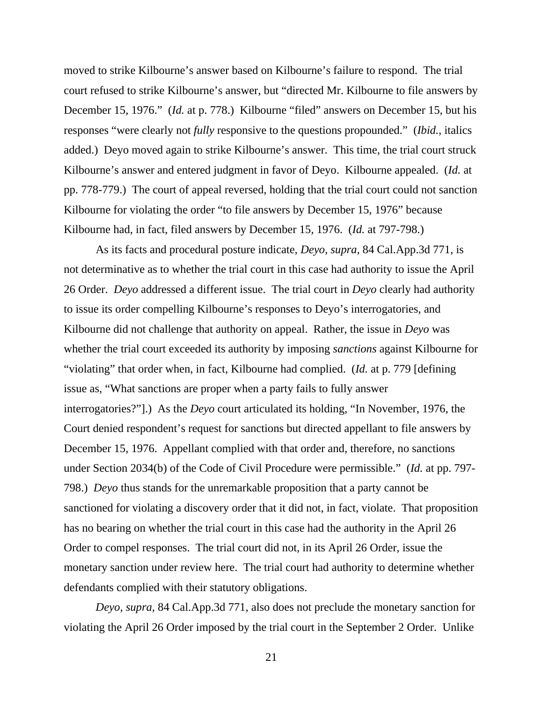moved to strike Kilbourne's answer based on Kilbourne's failure to respond. The trial court refused to strike Kilbourne's answer, but "directed Mr. Kilbourne to file answers by December 15, 1976." (*Id.* at p. 778.) Kilbourne "filed" answers on December 15, but his responses "were clearly not *fully* responsive to the questions propounded." (*Ibid.*, italics added.) Deyo moved again to strike Kilbourne's answer. This time, the trial court struck Kilbourne's answer and entered judgment in favor of Deyo. Kilbourne appealed. (*Id.* at pp. 778-779.) The court of appeal reversed, holding that the trial court could not sanction Kilbourne for violating the order "to file answers by December 15, 1976" because Kilbourne had, in fact, filed answers by December 15, 1976. (*Id.* at 797-798.)

 As its facts and procedural posture indicate, *Deyo, supra,* 84 Cal.App.3d 771, is not determinative as to whether the trial court in this case had authority to issue the April 26 Order. *Deyo* addressed a different issue. The trial court in *Deyo* clearly had authority to issue its order compelling Kilbourne's responses to Deyo's interrogatories, and Kilbourne did not challenge that authority on appeal. Rather, the issue in *Deyo* was whether the trial court exceeded its authority by imposing *sanctions* against Kilbourne for "violating" that order when, in fact, Kilbourne had complied. (*Id.* at p. 779 [defining issue as, "What sanctions are proper when a party fails to fully answer interrogatories?"].) As the *Deyo* court articulated its holding, "In November, 1976, the Court denied respondent's request for sanctions but directed appellant to file answers by December 15, 1976. Appellant complied with that order and, therefore, no sanctions under Section 2034(b) of the Code of Civil Procedure were permissible." (*Id.* at pp. 797- 798.) *Deyo* thus stands for the unremarkable proposition that a party cannot be sanctioned for violating a discovery order that it did not, in fact, violate. That proposition has no bearing on whether the trial court in this case had the authority in the April 26 Order to compel responses. The trial court did not, in its April 26 Order, issue the monetary sanction under review here. The trial court had authority to determine whether defendants complied with their statutory obligations.

*Deyo, supra,* 84 Cal.App.3d 771, also does not preclude the monetary sanction for violating the April 26 Order imposed by the trial court in the September 2 Order. Unlike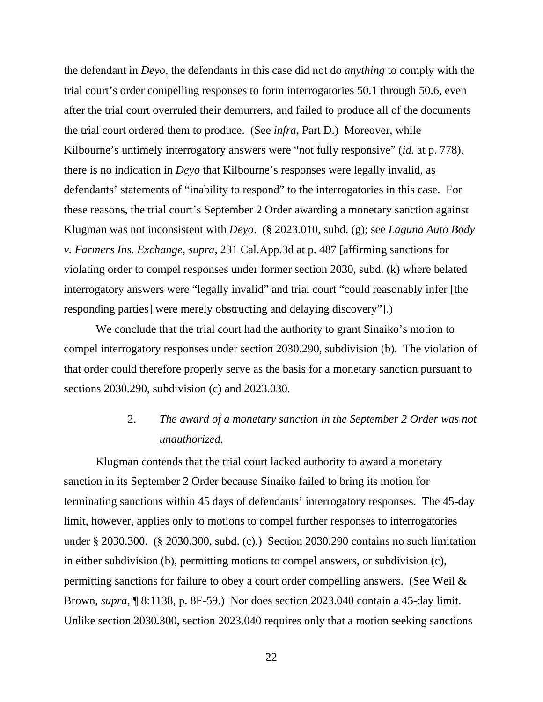the defendant in *Deyo*, the defendants in this case did not do *anything* to comply with the trial court's order compelling responses to form interrogatories 50.1 through 50.6, even after the trial court overruled their demurrers, and failed to produce all of the documents the trial court ordered them to produce. (See *infra*, Part D.) Moreover, while Kilbourne's untimely interrogatory answers were "not fully responsive" (*id.* at p. 778), there is no indication in *Deyo* that Kilbourne's responses were legally invalid, as defendants' statements of "inability to respond" to the interrogatories in this case. For these reasons, the trial court's September 2 Order awarding a monetary sanction against Klugman was not inconsistent with *Deyo*. (§ 2023.010, subd. (g); see *Laguna Auto Body v. Farmers Ins. Exchange, supra,* 231 Cal.App.3d at p. 487 [affirming sanctions for violating order to compel responses under former section 2030, subd. (k) where belated interrogatory answers were "legally invalid" and trial court "could reasonably infer [the responding parties] were merely obstructing and delaying discovery"].)

 We conclude that the trial court had the authority to grant Sinaiko's motion to compel interrogatory responses under section 2030.290, subdivision (b). The violation of that order could therefore properly serve as the basis for a monetary sanction pursuant to sections 2030.290, subdivision (c) and 2023.030.

## 2. *The award of a monetary sanction in the September 2 Order was not unauthorized.*

 Klugman contends that the trial court lacked authority to award a monetary sanction in its September 2 Order because Sinaiko failed to bring its motion for terminating sanctions within 45 days of defendants' interrogatory responses. The 45-day limit, however, applies only to motions to compel further responses to interrogatories under § 2030.300. (§ 2030.300, subd. (c).) Section 2030.290 contains no such limitation in either subdivision (b), permitting motions to compel answers, or subdivision (c), permitting sanctions for failure to obey a court order compelling answers. (See Weil & Brown, *supra*, ¶ 8:1138, p. 8F-59.) Nor does section 2023.040 contain a 45-day limit. Unlike section 2030.300, section 2023.040 requires only that a motion seeking sanctions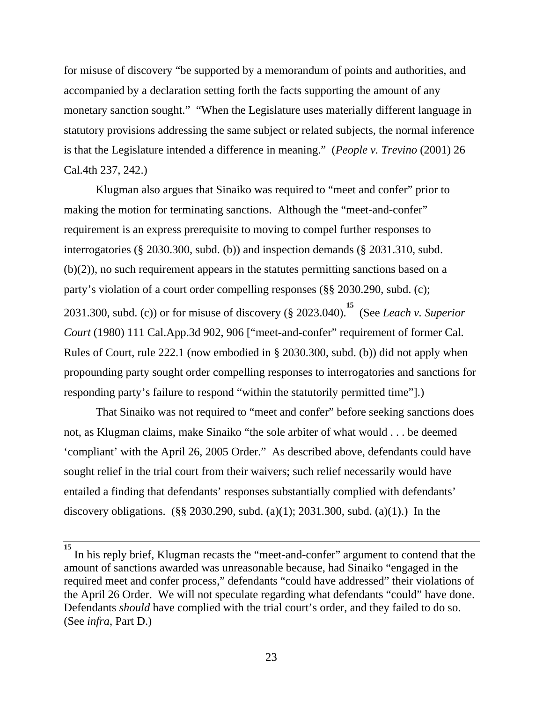for misuse of discovery "be supported by a memorandum of points and authorities, and accompanied by a declaration setting forth the facts supporting the amount of any monetary sanction sought." "When the Legislature uses materially different language in statutory provisions addressing the same subject or related subjects, the normal inference is that the Legislature intended a difference in meaning." (*People v. Trevino* (2001) 26 Cal.4th 237, 242.)

 Klugman also argues that Sinaiko was required to "meet and confer" prior to making the motion for terminating sanctions. Although the "meet-and-confer" requirement is an express prerequisite to moving to compel further responses to interrogatories (§ 2030.300, subd. (b)) and inspection demands (§ 2031.310, subd. (b)(2)), no such requirement appears in the statutes permitting sanctions based on a party's violation of a court order compelling responses (§§ 2030.290, subd. (c); 2031.300, subd. (c)) or for misuse of discovery (§ 2023.040). **15** (See *Leach v. Superior Court* (1980) 111 Cal.App.3d 902, 906 ["meet-and-confer" requirement of former Cal. Rules of Court, rule 222.1 (now embodied in § 2030.300, subd. (b)) did not apply when propounding party sought order compelling responses to interrogatories and sanctions for responding party's failure to respond "within the statutorily permitted time"].)

 That Sinaiko was not required to "meet and confer" before seeking sanctions does not, as Klugman claims, make Sinaiko "the sole arbiter of what would . . . be deemed 'compliant' with the April 26, 2005 Order." As described above, defendants could have sought relief in the trial court from their waivers; such relief necessarily would have entailed a finding that defendants' responses substantially complied with defendants' discovery obligations. (§§ 2030.290, subd. (a)(1); 2031.300, subd. (a)(1).) In the

In his reply brief, Klugman recasts the "meet-and-confer" argument to contend that the amount of sanctions awarded was unreasonable because, had Sinaiko "engaged in the required meet and confer process," defendants "could have addressed" their violations of the April 26 Order. We will not speculate regarding what defendants "could" have done. Defendants *should* have complied with the trial court's order, and they failed to do so. (See *infra*, Part D.)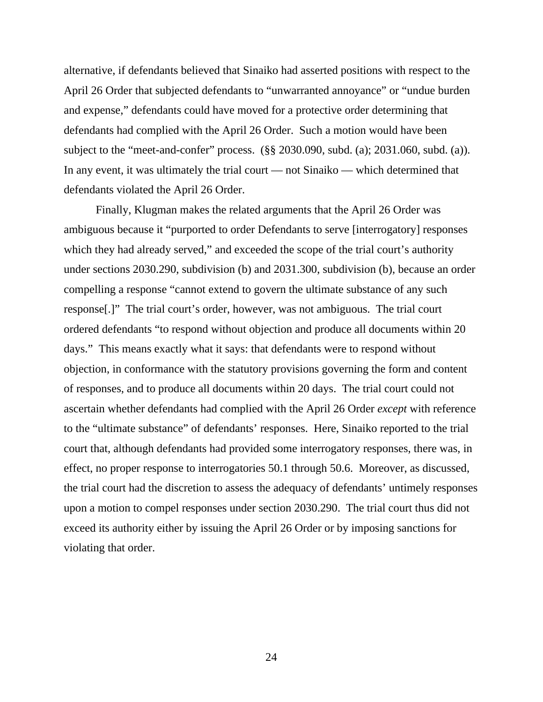alternative, if defendants believed that Sinaiko had asserted positions with respect to the April 26 Order that subjected defendants to "unwarranted annoyance" or "undue burden and expense," defendants could have moved for a protective order determining that defendants had complied with the April 26 Order. Such a motion would have been subject to the "meet-and-confer" process. (§§ 2030.090, subd. (a); 2031.060, subd. (a)). In any event, it was ultimately the trial court — not Sinaiko — which determined that defendants violated the April 26 Order.

 Finally, Klugman makes the related arguments that the April 26 Order was ambiguous because it "purported to order Defendants to serve [interrogatory] responses which they had already served," and exceeded the scope of the trial court's authority under sections 2030.290, subdivision (b) and 2031.300, subdivision (b), because an order compelling a response "cannot extend to govern the ultimate substance of any such response[.]" The trial court's order, however, was not ambiguous. The trial court ordered defendants "to respond without objection and produce all documents within 20 days." This means exactly what it says: that defendants were to respond without objection, in conformance with the statutory provisions governing the form and content of responses, and to produce all documents within 20 days. The trial court could not ascertain whether defendants had complied with the April 26 Order *except* with reference to the "ultimate substance" of defendants' responses. Here, Sinaiko reported to the trial court that, although defendants had provided some interrogatory responses, there was, in effect, no proper response to interrogatories 50.1 through 50.6. Moreover, as discussed, the trial court had the discretion to assess the adequacy of defendants' untimely responses upon a motion to compel responses under section 2030.290. The trial court thus did not exceed its authority either by issuing the April 26 Order or by imposing sanctions for violating that order.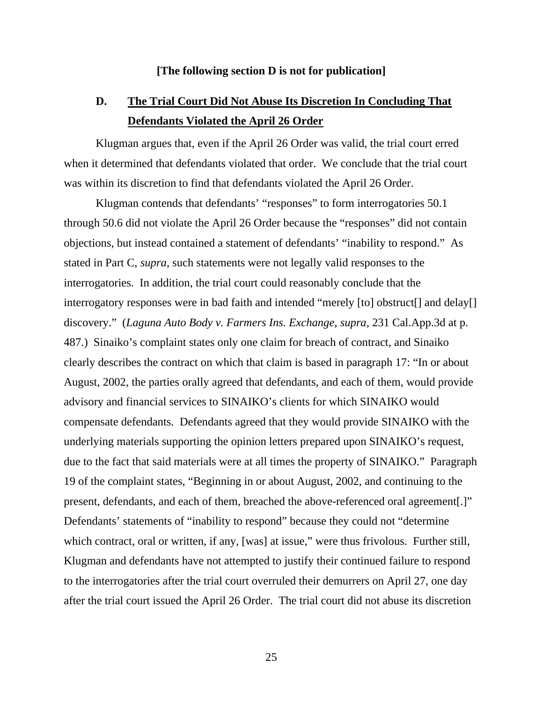#### **[The following section D is not for publication]**

## **D. The Trial Court Did Not Abuse Its Discretion In Concluding That Defendants Violated the April 26 Order**

 Klugman argues that, even if the April 26 Order was valid, the trial court erred when it determined that defendants violated that order. We conclude that the trial court was within its discretion to find that defendants violated the April 26 Order.

 Klugman contends that defendants' "responses" to form interrogatories 50.1 through 50.6 did not violate the April 26 Order because the "responses" did not contain objections, but instead contained a statement of defendants' "inability to respond." As stated in Part C, *supra*, such statements were not legally valid responses to the interrogatories. In addition, the trial court could reasonably conclude that the interrogatory responses were in bad faith and intended "merely [to] obstruct[] and delay[] discovery." (*Laguna Auto Body v. Farmers Ins. Exchange, supra,* 231 Cal.App.3d at p. 487.) Sinaiko's complaint states only one claim for breach of contract, and Sinaiko clearly describes the contract on which that claim is based in paragraph 17: "In or about August, 2002, the parties orally agreed that defendants, and each of them, would provide advisory and financial services to SINAIKO's clients for which SINAIKO would compensate defendants. Defendants agreed that they would provide SINAIKO with the underlying materials supporting the opinion letters prepared upon SINAIKO's request, due to the fact that said materials were at all times the property of SINAIKO." Paragraph 19 of the complaint states, "Beginning in or about August, 2002, and continuing to the present, defendants, and each of them, breached the above-referenced oral agreement[.]" Defendants' statements of "inability to respond" because they could not "determine which contract, oral or written, if any, [was] at issue," were thus frivolous. Further still, Klugman and defendants have not attempted to justify their continued failure to respond to the interrogatories after the trial court overruled their demurrers on April 27, one day after the trial court issued the April 26 Order. The trial court did not abuse its discretion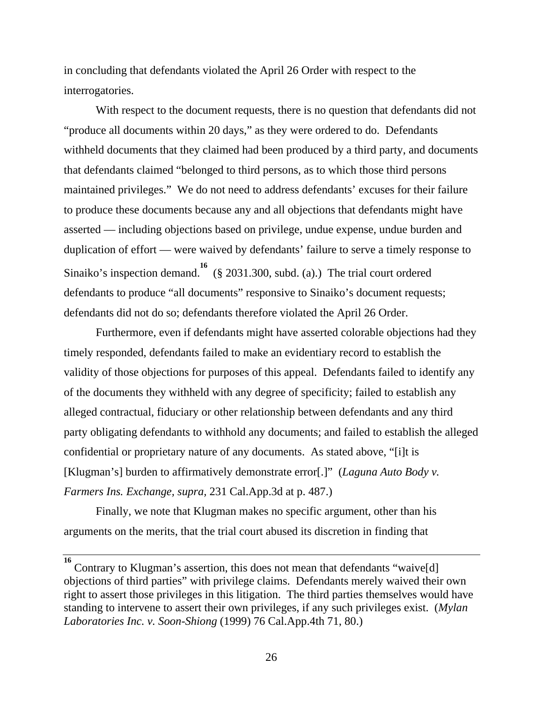in concluding that defendants violated the April 26 Order with respect to the interrogatories.

 With respect to the document requests, there is no question that defendants did not "produce all documents within 20 days," as they were ordered to do. Defendants withheld documents that they claimed had been produced by a third party, and documents that defendants claimed "belonged to third persons, as to which those third persons maintained privileges." We do not need to address defendants' excuses for their failure to produce these documents because any and all objections that defendants might have asserted — including objections based on privilege, undue expense, undue burden and duplication of effort — were waived by defendants' failure to serve a timely response to Sinaiko's inspection demand.<sup>16</sup> (§ 2031.300, subd. (a).) The trial court ordered defendants to produce "all documents" responsive to Sinaiko's document requests; defendants did not do so; defendants therefore violated the April 26 Order.

 Furthermore, even if defendants might have asserted colorable objections had they timely responded, defendants failed to make an evidentiary record to establish the validity of those objections for purposes of this appeal. Defendants failed to identify any of the documents they withheld with any degree of specificity; failed to establish any alleged contractual, fiduciary or other relationship between defendants and any third party obligating defendants to withhold any documents; and failed to establish the alleged confidential or proprietary nature of any documents. As stated above, "[i]t is [Klugman's] burden to affirmatively demonstrate error[.]" (*Laguna Auto Body v. Farmers Ins. Exchange, supra,* 231 Cal.App.3d at p. 487.)

 Finally, we note that Klugman makes no specific argument, other than his arguments on the merits, that the trial court abused its discretion in finding that

**<sup>16</sup>** Contrary to Klugman's assertion, this does not mean that defendants "waive[d] objections of third parties" with privilege claims. Defendants merely waived their own right to assert those privileges in this litigation. The third parties themselves would have standing to intervene to assert their own privileges, if any such privileges exist. (*Mylan Laboratories Inc. v. Soon-Shiong* (1999) 76 Cal.App.4th 71, 80.)